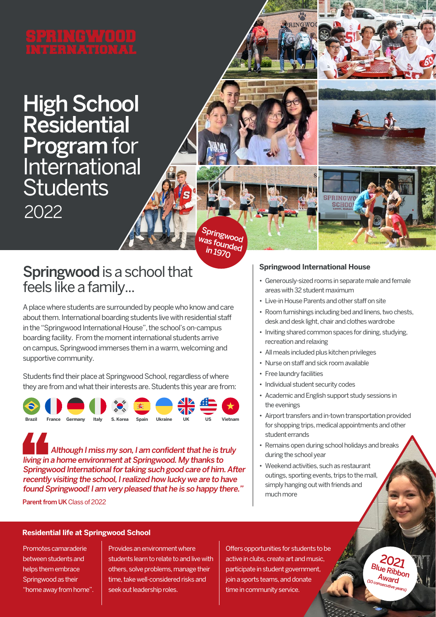# High School Residential Program for International **Students** 2022

Springwood as founded in 1970

### Springwood is a school that feels like a family...

A place where students are surrounded by people who know and care about them. International boarding students live with residential staff in the "Springwood International House", the school's on-campus boarding facility. From the moment international students arrive on campus, Springwood immerses them in a warm, welcoming and supportive community.

Students find their place at Springwood School, regardless of where they are from and what their interests are. Students this year are from:



 Although I miss my son, I am confident that he is truly living in a home environment at Springwood. My thanks to Springwood International for taking such good care of him. After recently visiting the school, I realized how lucky we are to have found Springwood! I am very pleased that he is so happy there."

Parent from UK Class of 2022

#### **Springwood International House**

• Generously-sized rooms in separate male and female areas with 32 student maximum

**SPRINGWO SCHOO** 

- Live-in House Parents and other staff on site
- Room furnishings including bed and linens, two chests, desk and desk light, chair and clothes wardrobe
- Inviting shared common spaces for dining, studying, recreation and relaxing
- All meals included plus kitchen privileges
- Nurse on staff and sick room available
- Free laundry facilities
- Individual student security codes
- Academic and English support study sessions in the evenings
- Airport transfers and in-town transportation provided for shopping trips, medical appointments and other student errands
- Remains open during school holidays and breaks during the school year
- Weekend activities, such as restaurant outings, sporting events, trips to the mall, simply hanging out with friends and much more

#### **Residential life at Springwood School**

Promotes camaraderie between students and helps them embrace Springwood as their "home away from home". Provides an environment where students learn to relate to and live with others, solve problems, manage their time, take well-considered risks and seek out leadership roles.

Offers opportunities for students to be active in clubs, create art and music, participate in student government, join a sports teams, and donate time in community service.

2021 **Blue Ribbon** Award

springwoodschool.com